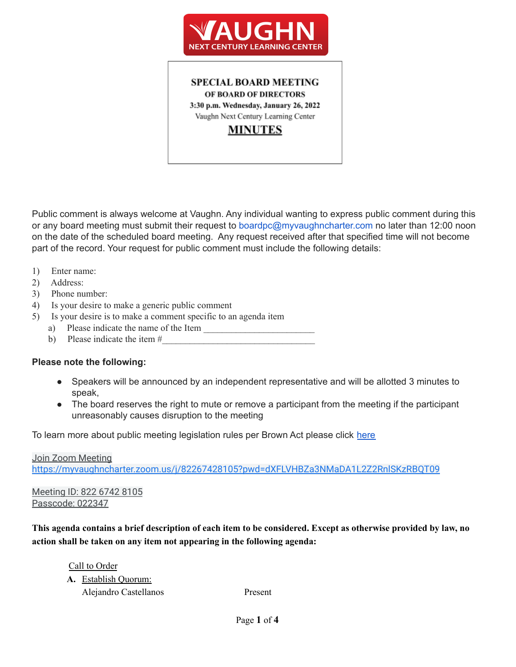

**SPECIAL BOARD MEETING** OF BOARD OF DIRECTORS 3:30 p.m. Wednesday, January 26, 2022 Vaughn Next Century Learning Center

# **MINUTES**

Public comment is always welcome at Vaughn. Any individual wanting to express public comment during this or any board meeting must submit their request to boardpc@myvaughncharter.com no later than 12:00 noon on the date of the scheduled board meeting. Any request received after that specified time will not become part of the record. Your request for public comment must include the following details:

- 1) Enter name:
- 2) Address:
- 3) Phone number:
- 4) Is your desire to make a generic public comment
- 5) Is your desire is to make a comment specific to an agenda item
	- a) Please indicate the name of the Item
		- b) Please indicate the item  $#_2$

#### **Please note the following:**

- Speakers will be announced by an independent representative and will be allotted 3 minutes to speak,
- The board reserves the right to mute or remove a participant from the meeting if the participant unreasonably causes disruption to the meeting

To learn more about public meeting legislation rules per Brown Act please click [here](https://leginfo.legislature.ca.gov/faces/billTextClient.xhtml?bill_id=201520160AB1787)

Join Zoom Meeting <https://myvaughncharter.zoom.us/j/82267428105?pwd=dXFLVHBZa3NMaDA1L2Z2RnlSKzRBQT09>

Meeting ID: 822 6742 8105 Passcode: 022347

This agenda contains a brief description of each item to be considered. Except as otherwise provided by law, no **action shall be taken on any item not appearing in the following agenda:**

Call to Order **A.** Establish Quorum: Alejandro Castellanos Present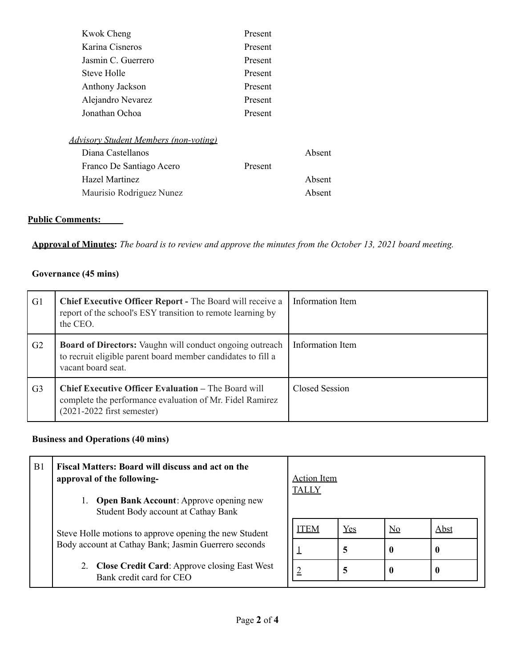| <b>Kwok Cheng</b>                            | Present |        |
|----------------------------------------------|---------|--------|
| Karina Cisneros                              | Present |        |
| Jasmin C. Guerrero                           | Present |        |
| Steve Holle                                  | Present |        |
| Anthony Jackson                              | Present |        |
| Alejandro Nevarez                            | Present |        |
| Jonathan Ochoa                               | Present |        |
| <b>Advisory Student Members (non-voting)</b> |         |        |
| Diana Castellanos                            |         | Absent |
| Franco De Santiago Acero                     | Present |        |
| Hazel Martinez                               |         | Absent |
| Maurisio Rodriguez Nunez                     |         | Absent |

#### **Public Comments:**

Approval of Minutes: The board is to review and approve the minutes from the October 13, 2021 board meeting.

#### **Governance (45 mins)**

| G <sub>1</sub> | <b>Chief Executive Officer Report - The Board will receive a</b><br>report of the school's ESY transition to remote learning by<br>the CEO.            | Information Item |
|----------------|--------------------------------------------------------------------------------------------------------------------------------------------------------|------------------|
| G <sub>2</sub> | <b>Board of Directors:</b> Vaughn will conduct ongoing outreach<br>to recruit eligible parent board member candidates to fill a<br>vacant board seat.  | Information Item |
| G <sub>3</sub> | <b>Chief Executive Officer Evaluation - The Board will</b><br>complete the performance evaluation of Mr. Fidel Ramirez<br>$(2021-2022$ first semester) | Closed Session   |

## **Business and Operations (40 mins)**

| B1 | Fiscal Matters: Board will discuss and act on the<br>approval of the following-      | <b>Action</b> Item<br><b>TALLY</b> |     |                           |             |
|----|--------------------------------------------------------------------------------------|------------------------------------|-----|---------------------------|-------------|
|    | <b>Open Bank Account:</b> Approve opening new<br>Student Body account at Cathay Bank |                                    |     |                           |             |
|    | Steve Holle motions to approve opening the new Student                               | <b>ITEM</b>                        | Yes | $\underline{\mathrm{No}}$ | <b>Abst</b> |
|    | Body account at Cathay Bank; Jasmin Guerrero seconds                                 |                                    | 5   |                           | $\bf{0}$    |
|    | <b>Close Credit Card: Approve closing East West</b><br>Bank credit card for CEO      | ≙                                  | 5   |                           | $\bf{0}$    |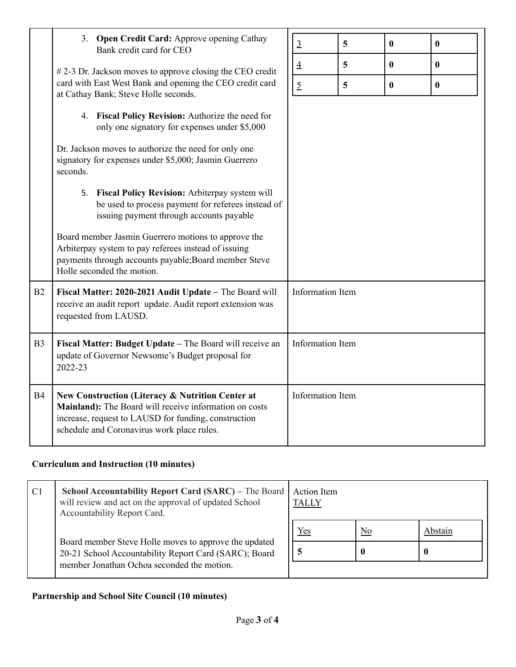|                | 3. Open Credit Card: Approve opening Cathay<br>Bank credit card for CEO                                                                                                                                          | $\overline{3}$          | 5 | $\bf{0}$ | $\bf{0}$ |
|----------------|------------------------------------------------------------------------------------------------------------------------------------------------------------------------------------------------------------------|-------------------------|---|----------|----------|
|                | $#2-3$ Dr. Jackson moves to approve closing the CEO credit                                                                                                                                                       | $\underline{4}$         | 5 | $\bf{0}$ | $\bf{0}$ |
|                | card with East West Bank and opening the CEO credit card<br>at Cathay Bank; Steve Holle seconds.                                                                                                                 | $\overline{2}$          | 5 | $\bf{0}$ | $\bf{0}$ |
|                | 4. Fiscal Policy Revision: Authorize the need for<br>only one signatory for expenses under \$5,000                                                                                                               |                         |   |          |          |
|                | Dr. Jackson moves to authorize the need for only one<br>signatory for expenses under \$5,000; Jasmin Guerrero<br>seconds.                                                                                        |                         |   |          |          |
|                | 5. Fiscal Policy Revision: Arbiterpay system will<br>be used to process payment for referees instead of<br>issuing payment through accounts payable                                                              |                         |   |          |          |
|                | Board member Jasmin Guerrero motions to approve the<br>Arbiterpay system to pay referees instead of issuing<br>payments through accounts payable; Board member Steve<br>Holle seconded the motion.               |                         |   |          |          |
| B2             | Fiscal Matter: 2020-2021 Audit Update - The Board will<br>receive an audit report update. Audit report extension was<br>requested from LAUSD.                                                                    | <b>Information Item</b> |   |          |          |
| B <sub>3</sub> | Fiscal Matter: Budget Update - The Board will receive an<br>update of Governor Newsome's Budget proposal for<br>2022-23                                                                                          | <b>Information Item</b> |   |          |          |
| <b>B4</b>      | New Construction (Literacy & Nutrition Center at<br>Mainland): The Board will receive information on costs<br>increase, request to LAUSD for funding, construction<br>schedule and Coronavirus work place rules. | <b>Information Item</b> |   |          |          |

## **Curriculum and Instruction (10 minutes)**

| C1 | School Accountability Report Card (SARC) - The Board<br>will review and act on the approval of updated School<br>Accountability Report Card.                 | <b>Action</b> Item<br><b>TALLY</b> |    |         |
|----|--------------------------------------------------------------------------------------------------------------------------------------------------------------|------------------------------------|----|---------|
|    | Board member Steve Holle moves to approve the updated<br>20-21 School Accountability Report Card (SARC); Board<br>member Jonathan Ochoa seconded the motion. | Yes                                | No | Abstain |
|    |                                                                                                                                                              | -5                                 |    | v       |
|    |                                                                                                                                                              |                                    |    |         |

# **Partnership and School Site Council (10 minutes)**